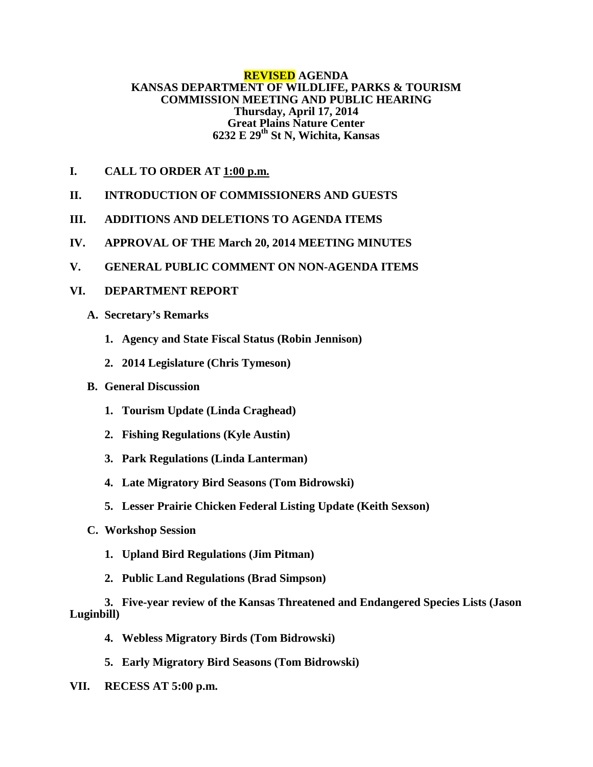#### **REVISED AGENDA KANSAS DEPARTMENT OF WILDLIFE, PARKS & TOURISM COMMISSION MEETING AND PUBLIC HEARING Thursday, April 17, 2014 Great Plains Nature Center 6232 E 29th St N, Wichita, Kansas**

- **I. CALL TO ORDER AT 1:00 p.m.**
- **II. INTRODUCTION OF COMMISSIONERS AND GUESTS**
- **III. ADDITIONS AND DELETIONS TO AGENDA ITEMS**
- **IV. APPROVAL OF THE March 20, 2014 MEETING MINUTES**
- **V. GENERAL PUBLIC COMMENT ON NON-AGENDA ITEMS**

## **VI. DEPARTMENT REPORT**

- **A. Secretary's Remarks**
	- **1. Agency and State Fiscal Status (Robin Jennison)**
	- **2. 2014 Legislature (Chris Tymeson)**

## **B. General Discussion**

- **1. Tourism Update (Linda Craghead)**
- **2. Fishing Regulations (Kyle Austin)**
- **3. Park Regulations (Linda Lanterman)**
- **4. Late Migratory Bird Seasons (Tom Bidrowski)**
- **5. Lesser Prairie Chicken Federal Listing Update (Keith Sexson)**
- **C. Workshop Session** 
	- **1. Upland Bird Regulations (Jim Pitman)**
	- **2. Public Land Regulations (Brad Simpson)**

# **3. Five-year review of the Kansas Threatened and Endangered Species Lists (Jason Luginbill)**

- **4. Webless Migratory Birds (Tom Bidrowski)**
- **5. Early Migratory Bird Seasons (Tom Bidrowski)**
- **VII. RECESS AT 5:00 p.m.**